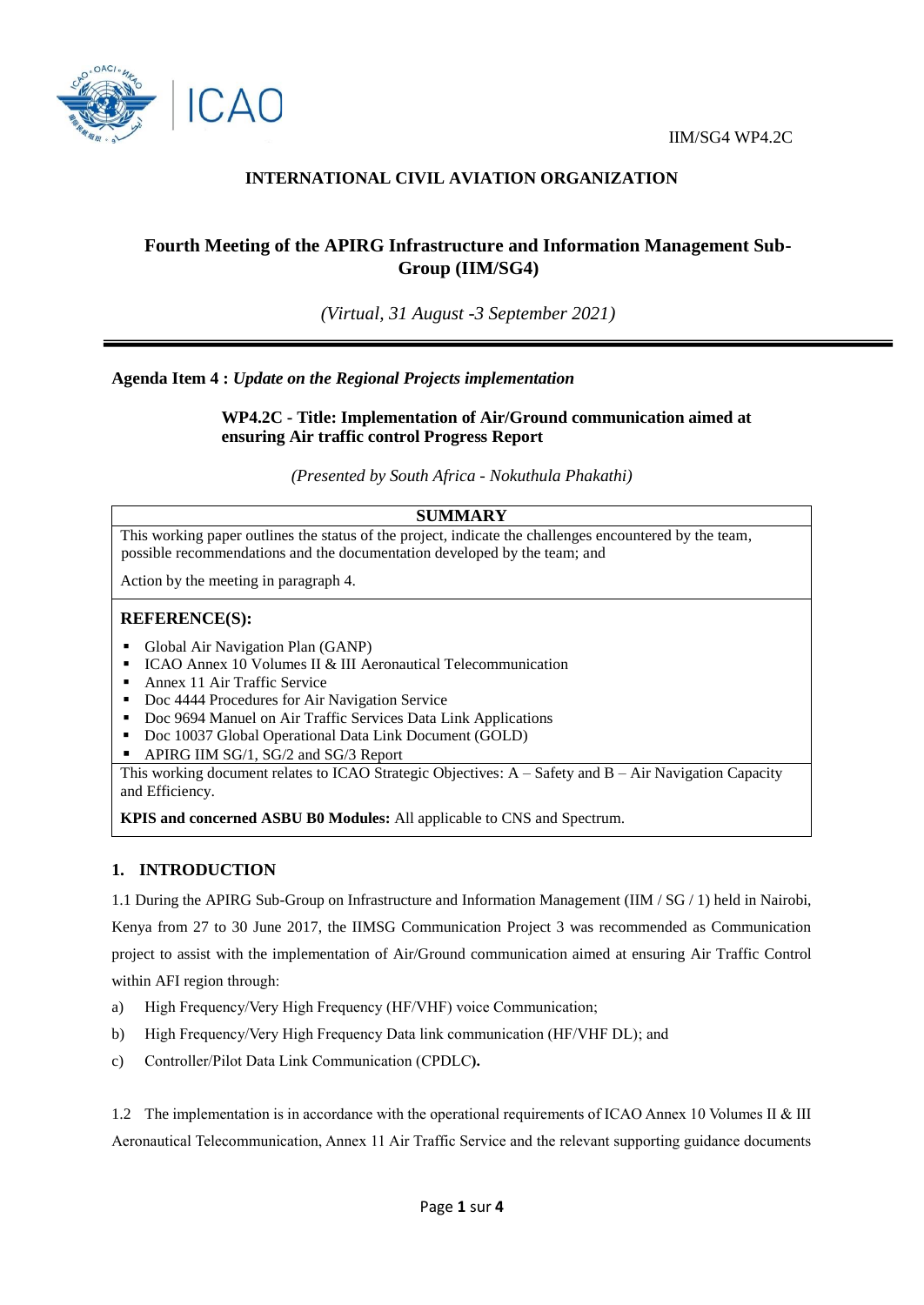

# **INTERNATIONAL CIVIL AVIATION ORGANIZATION**

# **Fourth Meeting of the APIRG Infrastructure and Information Management Sub-Group (IIM/SG4)**

*(Virtual, 31 August -3 September 2021)*

**Agenda Item 4 :** *Update on the Regional Projects implementation*

**WP4.2C - Title: Implementation of Air/Ground communication aimed at ensuring Air traffic control Progress Report**

*(Presented by South Africa - Nokuthula Phakathi)*

## **SUMMARY**

This working paper outlines the status of the project, indicate the challenges encountered by the team, possible recommendations and the documentation developed by the team; and

Action by the meeting in paragraph 4.

#### **REFERENCE(S):**

- Global Air Navigation Plan (GANP)
- ICAO Annex 10 Volumes II & III Aeronautical Telecommunication
- **Annex 11 Air Traffic Service**
- Doc 4444 Procedures for Air Navigation Service
- Doc 9694 Manuel on Air Traffic Services Data Link Applications
- Doc 10037 Global Operational Data Link Document (GOLD)
- APIRG IIM SG/1, SG/2 and SG/3 Report

This working document relates to ICAO Strategic Objectives: A – Safety and B – Air Navigation Capacity and Efficiency.

**KPIS and concerned ASBU B0 Modules:** All applicable to CNS and Spectrum.

## **1. INTRODUCTION**

1.1 During the APIRG Sub-Group on Infrastructure and Information Management (IIM / SG / 1) held in Nairobi, Kenya from 27 to 30 June 2017, the IIMSG Communication Project 3 was recommended as Communication project to assist with the implementation of Air/Ground communication aimed at ensuring Air Traffic Control within AFI region through:

- a) High Frequency/Very High Frequency (HF/VHF) voice Communication;
- b) High Frequency/Very High Frequency Data link communication (HF/VHF DL); and
- c) Controller/Pilot Data Link Communication (CPDLC**).**

1.2 The implementation is in accordance with the operational requirements of ICAO Annex 10 Volumes II & III Aeronautical Telecommunication, Annex 11 Air Traffic Service and the relevant supporting guidance documents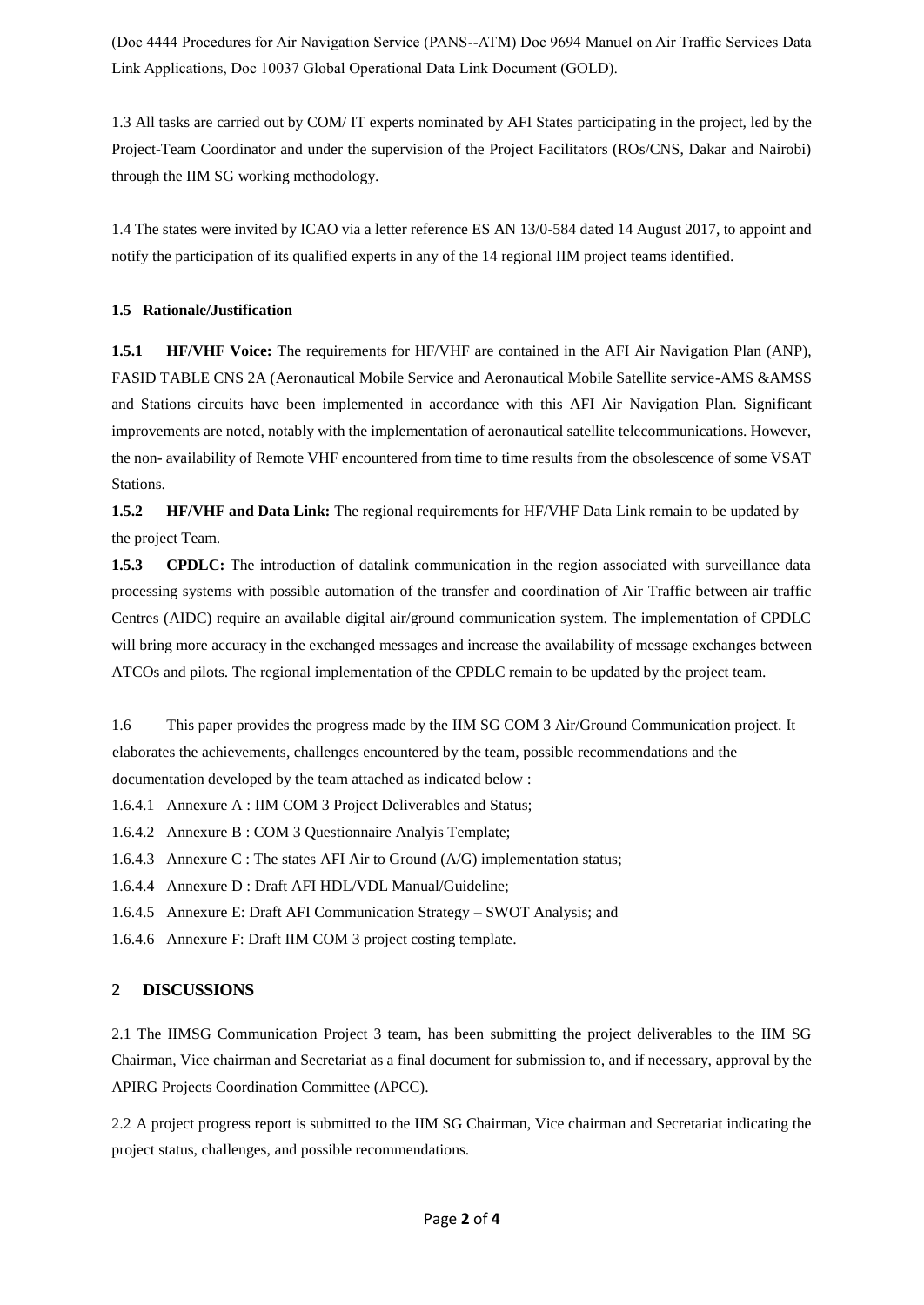(Doc 4444 Procedures for Air Navigation Service (PANS--ATM) Doc 9694 Manuel on Air Traffic Services Data Link Applications, Doc 10037 Global Operational Data Link Document (GOLD).

1.3 All tasks are carried out by COM/ IT experts nominated by AFI States participating in the project, led by the Project-Team Coordinator and under the supervision of the Project Facilitators (ROs/CNS, Dakar and Nairobi) through the IIM SG working methodology.

1.4 The states were invited by ICAO via a letter reference ES AN 13/0-584 dated 14 August 2017, to appoint and notify the participation of its qualified experts in any of the 14 regional IIM project teams identified.

#### **1.5 Rationale/Justification**

**1.5.1 HF/VHF Voice:** The requirements for HF/VHF are contained in the AFI Air Navigation Plan (ANP), FASID TABLE CNS 2A (Aeronautical Mobile Service and Aeronautical Mobile Satellite service-AMS &AMSS and Stations circuits have been implemented in accordance with this AFI Air Navigation Plan. Significant improvements are noted, notably with the implementation of aeronautical satellite telecommunications. However, the non- availability of Remote VHF encountered from time to time results from the obsolescence of some VSAT Stations.

**1.5.2 HF/VHF and Data Link:** The regional requirements for HF/VHF Data Link remain to be updated by the project Team.

**1.5.3 CPDLC:** The introduction of datalink communication in the region associated with surveillance data processing systems with possible automation of the transfer and coordination of Air Traffic between air traffic Centres (AIDC) require an available digital air/ground communication system. The implementation of CPDLC will bring more accuracy in the exchanged messages and increase the availability of message exchanges between ATCOs and pilots. The regional implementation of the CPDLC remain to be updated by the project team.

1.6 This paper provides the progress made by the IIM SG COM 3 Air/Ground Communication project. It elaborates the achievements, challenges encountered by the team, possible recommendations and the documentation developed by the team attached as indicated below :

1.6.4.1 Annexure A : IIM COM 3 Project Deliverables and Status;

1.6.4.2 Annexure B : COM 3 Questionnaire Analyis Template;

1.6.4.3 Annexure C : The states AFI Air to Ground (A/G) implementation status;

1.6.4.4 Annexure D : Draft AFI HDL/VDL Manual/Guideline;

1.6.4.5 Annexure E: Draft AFI Communication Strategy – SWOT Analysis; and

1.6.4.6 Annexure F: Draft IIM COM 3 project costing template.

#### **2 DISCUSSIONS**

2.1 The IIMSG Communication Project 3 team, has been submitting the project deliverables to the IIM SG Chairman, Vice chairman and Secretariat as a final document for submission to, and if necessary, approval by the APIRG Projects Coordination Committee (APCC).

2.2 A project progress report is submitted to the IIM SG Chairman, Vice chairman and Secretariat indicating the project status, challenges, and possible recommendations.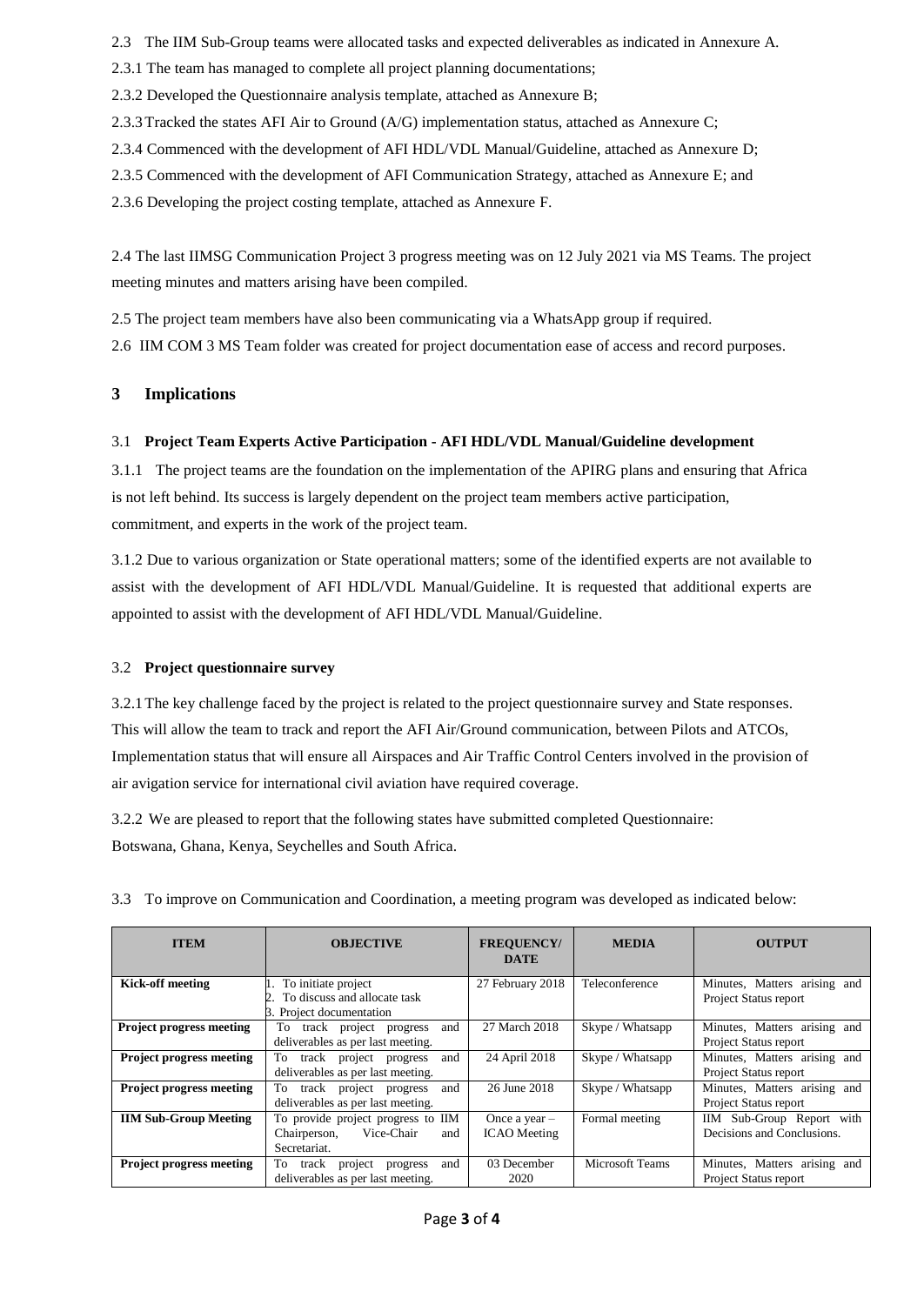2.3 The IIM Sub-Group teams were allocated tasks and expected deliverables as indicated in Annexure A.

2.3.1 The team has managed to complete all project planning documentations;

2.3.2 Developed the Questionnaire analysis template, attached as Annexure B;

2.3.3Tracked the states AFI Air to Ground (A/G) implementation status, attached as Annexure C;

2.3.4 Commenced with the development of AFI HDL/VDL Manual/Guideline, attached as Annexure D;

2.3.5 Commenced with the development of AFI Communication Strategy, attached as Annexure E; and

2.3.6 Developing the project costing template, attached as Annexure F.

2.4 The last IIMSG Communication Project 3 progress meeting was on 12 July 2021 via MS Teams. The project meeting minutes and matters arising have been compiled.

2.5 The project team members have also been communicating via a WhatsApp group if required.

2.6 IIM COM 3 MS Team folder was created for project documentation ease of access and record purposes.

## **3 Implications**

## 3.1 **Project Team Experts Active Participation - AFI HDL/VDL Manual/Guideline development**

3.1.1 The project teams are the foundation on the implementation of the APIRG plans and ensuring that Africa is not left behind. Its success is largely dependent on the project team members active participation, commitment, and experts in the work of the project team.

3.1.2 Due to various organization or State operational matters; some of the identified experts are not available to assist with the development of AFI HDL/VDL Manual/Guideline. It is requested that additional experts are appointed to assist with the development of AFI HDL/VDL Manual/Guideline.

## 3.2 **Project questionnaire survey**

3.2.1The key challenge faced by the project is related to the project questionnaire survey and State responses. This will allow the team to track and report the AFI Air/Ground communication, between Pilots and ATCOs, Implementation status that will ensure all Airspaces and Air Traffic Control Centers involved in the provision of air avigation service for international civil aviation have required coverage.

3.2.2 We are pleased to report that the following states have submitted completed Questionnaire: Botswana, Ghana, Kenya, Seychelles and South Africa.

| <b>ITEM</b>                     | <b>OBJECTIVE</b>                                         | <b>FREQUENCY/</b><br><b>DATE</b> | <b>MEDIA</b>     | <b>OUTPUT</b>                |
|---------------------------------|----------------------------------------------------------|----------------------------------|------------------|------------------------------|
| <b>Kick-off meeting</b>         | 1. To initiate project                                   | 27 February 2018                 | Teleconference   | Minutes, Matters arising and |
|                                 | To discuss and allocate task<br>3. Project documentation |                                  |                  | Project Status report        |
| <b>Project progress meeting</b> | and<br>track project progress<br>To.                     | 27 March 2018                    | Skype / Whatsapp | Minutes, Matters arising and |
|                                 | deliverables as per last meeting.                        |                                  |                  | Project Status report        |
| <b>Project progress meeting</b> | and<br>To<br>track project progress                      | 24 April 2018                    | Skype / Whatsapp | Minutes, Matters arising and |
|                                 | deliverables as per last meeting.                        |                                  |                  | Project Status report        |
| <b>Project progress meeting</b> | and<br>To<br>track project progress                      | 26 June 2018                     | Skype / Whatsapp | Minutes, Matters arising and |
|                                 | deliverables as per last meeting.                        |                                  |                  | Project Status report        |
| <b>IIM Sub-Group Meeting</b>    | To provide project progress to IIM                       | Once a year $-$                  | Formal meeting   | IIM Sub-Group Report with    |
|                                 | Vice-Chair<br>Chairperson,<br>and                        | <b>ICAO</b> Meeting              |                  | Decisions and Conclusions.   |
|                                 | Secretariat.                                             |                                  |                  |                              |
| <b>Project progress meeting</b> | and<br>To<br>track<br>project<br>progress                | 03 December                      | Microsoft Teams  | Minutes, Matters arising and |
|                                 | deliverables as per last meeting.                        | 2020                             |                  | Project Status report        |

3.3 To improve on Communication and Coordination, a meeting program was developed as indicated below: